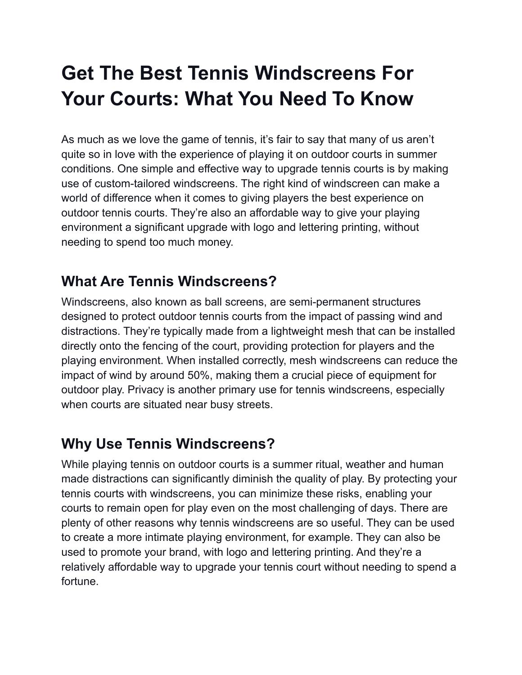# **Get The Best Tennis Windscreens For Your Courts: What You Need To Know**

As much as we love the game of tennis, it's fair to say that many of us aren't quite so in love with the experience of playing it on outdoor courts in summer conditions. One simple and effective way to upgrade tennis courts is by making use of custom-tailored windscreens. The right kind of windscreen can make a world of difference when it comes to giving players the best experience on outdoor tennis courts. They're also an affordable way to give your playing environment a significant upgrade with logo and lettering printing, without needing to spend too much money.

#### **What Are Tennis Windscreens?**

Windscreens, also known as ball screens, are semi-permanent structures designed to protect outdoor tennis courts from the impact of passing wind and distractions. They're typically made from a lightweight mesh that can be installed directly onto the fencing of the court, providing protection for players and the playing environment. When installed correctly, mesh windscreens can reduce the impact of wind by around 50%, making them a crucial piece of equipment for outdoor play. Privacy is another primary use for tennis windscreens, especially when courts are situated near busy streets.

#### **Why Use Tennis Windscreens?**

While playing tennis on outdoor courts is a summer ritual, weather and human made distractions can significantly diminish the quality of play. By protecting your tennis courts with windscreens, you can minimize these risks, enabling your courts to remain open for play even on the most challenging of days. There are plenty of other reasons why tennis windscreens are so useful. They can be used to create a more intimate playing environment, for example. They can also be used to promote your brand, with logo and lettering printing. And they're a relatively affordable way to upgrade your tennis court without needing to spend a fortune.